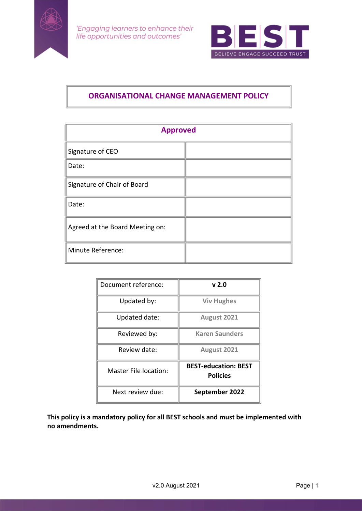



# ORGANISATIONAL CHANGE MANAGEMENT POLICY

| <b>Approved</b>                 |  |  |
|---------------------------------|--|--|
| Signature of CEO                |  |  |
| Date:                           |  |  |
| Signature of Chair of Board     |  |  |
| Date:                           |  |  |
| Agreed at the Board Meeting on: |  |  |
| Minute Reference:               |  |  |

| Document reference:          | v <sub>2.0</sub>                               |
|------------------------------|------------------------------------------------|
| Updated by:                  | <b>Viv Hughes</b>                              |
| Updated date:                | August 2021                                    |
| Reviewed by:                 | <b>Karen Saunders</b>                          |
| Review date:                 | August 2021                                    |
| <b>Master File location:</b> | <b>BEST-education: BEST</b><br><b>Policies</b> |
| Next review due:             | September 2022                                 |

This policy is a mandatory policy for all BEST schools and must be implemented with no amendments.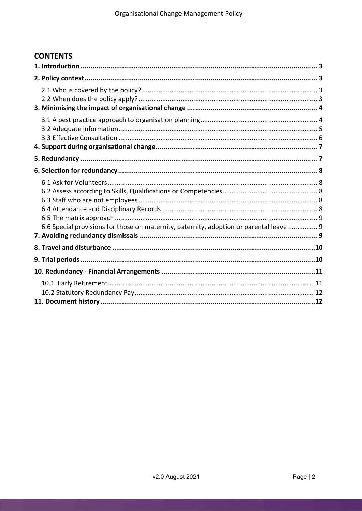# **CONTENTS**

| 6.6 Special provisions for those on maternity, paternity, adoption or parental leave  9 |  |
|-----------------------------------------------------------------------------------------|--|
|                                                                                         |  |
|                                                                                         |  |
|                                                                                         |  |
|                                                                                         |  |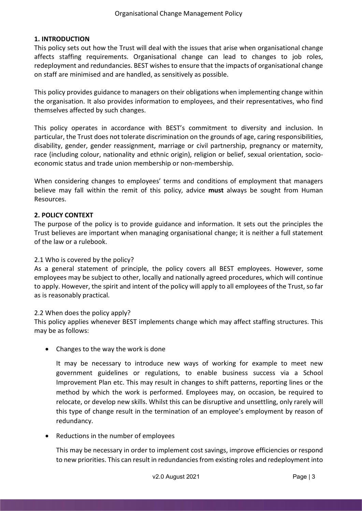# 1. INTRODUCTION

This policy sets out how the Trust will deal with the issues that arise when organisational change affects staffing requirements. Organisational change can lead to changes to job roles, redeployment and redundancies. BEST wishes to ensure that the impacts of organisational change on staff are minimised and are handled, as sensitively as possible.

This policy provides guidance to managers on their obligations when implementing change within the organisation. It also provides information to employees, and their representatives, who find themselves affected by such changes.

This policy operates in accordance with BEST's commitment to diversity and inclusion. In particular, the Trust does not tolerate discrimination on the grounds of age, caring responsibilities, disability, gender, gender reassignment, marriage or civil partnership, pregnancy or maternity, race (including colour, nationality and ethnic origin), religion or belief, sexual orientation, socioeconomic status and trade union membership or non-membership.

When considering changes to employees' terms and conditions of employment that managers believe may fall within the remit of this policy, advice must always be sought from Human Resources.

## 2. POLICY CONTEXT

The purpose of the policy is to provide guidance and information. It sets out the principles the Trust believes are important when managing organisational change; it is neither a full statement of the law or a rulebook.

## 2.1 Who is covered by the policy?

As a general statement of principle, the policy covers all BEST employees. However, some employees may be subject to other, locally and nationally agreed procedures, which will continue to apply. However, the spirit and intent of the policy will apply to all employees of the Trust, so far as is reasonably practical.

## 2.2 When does the policy apply?

This policy applies whenever BEST implements change which may affect staffing structures. This may be as follows:

• Changes to the way the work is done

It may be necessary to introduce new ways of working for example to meet new government guidelines or regulations, to enable business success via a School Improvement Plan etc. This may result in changes to shift patterns, reporting lines or the method by which the work is performed. Employees may, on occasion, be required to relocate, or develop new skills. Whilst this can be disruptive and unsettling, only rarely will this type of change result in the termination of an employee's employment by reason of redundancy.

• Reductions in the number of employees

This may be necessary in order to implement cost savings, improve efficiencies or respond to new priorities. This can result in redundancies from existing roles and redeployment into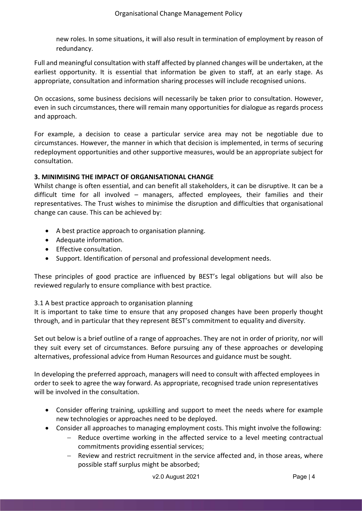new roles. In some situations, it will also result in termination of employment by reason of redundancy.

Full and meaningful consultation with staff affected by planned changes will be undertaken, at the earliest opportunity. It is essential that information be given to staff, at an early stage. As appropriate, consultation and information sharing processes will include recognised unions.

On occasions, some business decisions will necessarily be taken prior to consultation. However, even in such circumstances, there will remain many opportunities for dialogue as regards process and approach.

For example, a decision to cease a particular service area may not be negotiable due to circumstances. However, the manner in which that decision is implemented, in terms of securing redeployment opportunities and other supportive measures, would be an appropriate subject for consultation.

## 3. MINIMISING THE IMPACT OF ORGANISATIONAL CHANGE

Whilst change is often essential, and can benefit all stakeholders, it can be disruptive. It can be a difficult time for all involved – managers, affected employees, their families and their representatives. The Trust wishes to minimise the disruption and difficulties that organisational change can cause. This can be achieved by:

- A best practice approach to organisation planning.
- Adequate information.
- **•** Effective consultation.
- Support. Identification of personal and professional development needs.

These principles of good practice are influenced by BEST's legal obligations but will also be reviewed regularly to ensure compliance with best practice.

## 3.1 A best practice approach to organisation planning

It is important to take time to ensure that any proposed changes have been properly thought through, and in particular that they represent BEST's commitment to equality and diversity.

Set out below is a brief outline of a range of approaches. They are not in order of priority, nor will they suit every set of circumstances. Before pursuing any of these approaches or developing alternatives, professional advice from Human Resources and guidance must be sought.

In developing the preferred approach, managers will need to consult with affected employees in order to seek to agree the way forward. As appropriate, recognised trade union representatives will be involved in the consultation.

- Consider offering training, upskilling and support to meet the needs where for example new technologies or approaches need to be deployed.
- Consider all approaches to managing employment costs. This might involve the following:
	- Reduce overtime working in the affected service to a level meeting contractual commitments providing essential services;
	- $-$  Review and restrict recruitment in the service affected and, in those areas, where possible staff surplus might be absorbed;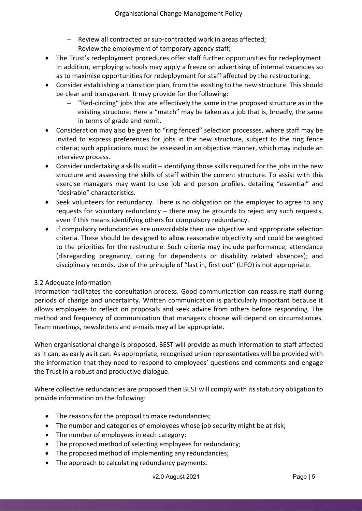- Review all contracted or sub-contracted work in areas affected;
- $-$  Review the employment of temporary agency staff;
- The Trust's redeployment procedures offer staff further opportunities for redeployment. In addition, employing schools may apply a freeze on advertising of internal vacancies so as to maximise opportunities for redeployment for staff affected by the restructuring.
- Consider establishing a transition plan, from the existing to the new structure. This should be clear and transparent. It may provide for the following:
	- "Red-circling" jobs that are effectively the same in the proposed structure as in the existing structure. Here a "match" may be taken as a job that is, broadly, the same in terms of grade and remit.
- Consideration may also be given to "ring fenced" selection processes, where staff may be invited to express preferences for jobs in the new structure, subject to the ring fence criteria; such applications must be assessed in an objective manner, which may include an interview process.
- Consider undertaking a skills audit identifying those skills required for the jobs in the new structure and assessing the skills of staff within the current structure. To assist with this exercise managers may want to use job and person profiles, detailing "essential" and "desirable" characteristics.
- Seek volunteers for redundancy. There is no obligation on the employer to agree to any requests for voluntary redundancy – there may be grounds to reject any such requests, even if this means identifying others for compulsory redundancy.
- If compulsory redundancies are unavoidable then use objective and appropriate selection criteria. These should be designed to allow reasonable objectivity and could be weighted to the priorities for the restructure. Such criteria may include performance, attendance (disregarding pregnancy, caring for dependents or disability related absences); and disciplinary records. Use of the principle of "last in, first out" (LIFO) is not appropriate.

# 3.2 Adequate information

Information facilitates the consultation process. Good communication can reassure staff during periods of change and uncertainty. Written communication is particularly important because it allows employees to reflect on proposals and seek advice from others before responding. The method and frequency of communication that managers choose will depend on circumstances. Team meetings, newsletters and e-mails may all be appropriate.

When organisational change is proposed, BEST will provide as much information to staff affected as it can, as early as it can. As appropriate, recognised union representatives will be provided with the information that they need to respond to employees' questions and comments and engage the Trust in a robust and productive dialogue.

Where collective redundancies are proposed then BEST will comply with its statutory obligation to provide information on the following:

- The reasons for the proposal to make redundancies;
- The number and categories of employees whose job security might be at risk;
- The number of employees in each category;
- The proposed method of selecting employees for redundancy;
- The proposed method of implementing any redundancies;
- The approach to calculating redundancy payments.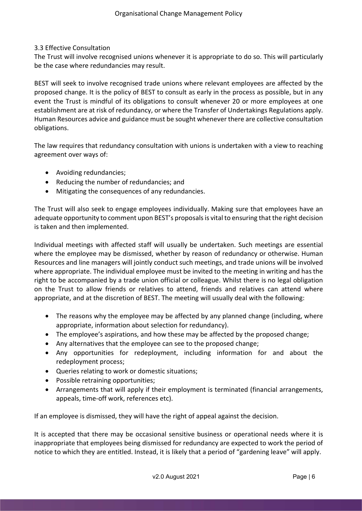# 3.3 Effective Consultation

The Trust will involve recognised unions whenever it is appropriate to do so. This will particularly be the case where redundancies may result.

BEST will seek to involve recognised trade unions where relevant employees are affected by the proposed change. It is the policy of BEST to consult as early in the process as possible, but in any event the Trust is mindful of its obligations to consult whenever 20 or more employees at one establishment are at risk of redundancy, or where the Transfer of Undertakings Regulations apply. Human Resources advice and guidance must be sought whenever there are collective consultation obligations.

The law requires that redundancy consultation with unions is undertaken with a view to reaching agreement over ways of:

- Avoiding redundancies;
- Reducing the number of redundancies; and
- Mitigating the consequences of any redundancies.

The Trust will also seek to engage employees individually. Making sure that employees have an adequate opportunity to comment upon BEST's proposals is vital to ensuring that the right decision is taken and then implemented.

Individual meetings with affected staff will usually be undertaken. Such meetings are essential where the employee may be dismissed, whether by reason of redundancy or otherwise. Human Resources and line managers will jointly conduct such meetings, and trade unions will be involved where appropriate. The individual employee must be invited to the meeting in writing and has the right to be accompanied by a trade union official or colleague. Whilst there is no legal obligation on the Trust to allow friends or relatives to attend, friends and relatives can attend where appropriate, and at the discretion of BEST. The meeting will usually deal with the following:

- The reasons why the employee may be affected by any planned change (including, where appropriate, information about selection for redundancy).
- The employee's aspirations, and how these may be affected by the proposed change;
- Any alternatives that the employee can see to the proposed change;
- Any opportunities for redeployment, including information for and about the redeployment process;
- Queries relating to work or domestic situations;
- Possible retraining opportunities;
- Arrangements that will apply if their employment is terminated (financial arrangements, appeals, time-off work, references etc).

If an employee is dismissed, they will have the right of appeal against the decision.

It is accepted that there may be occasional sensitive business or operational needs where it is inappropriate that employees being dismissed for redundancy are expected to work the period of notice to which they are entitled. Instead, it is likely that a period of "gardening leave" will apply.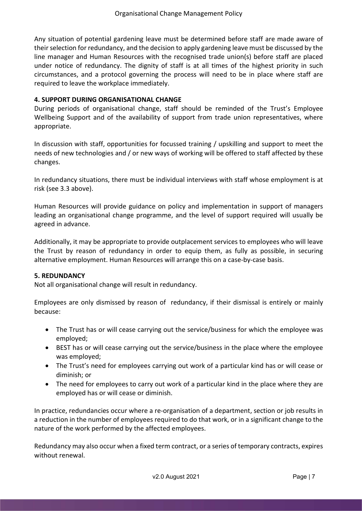Any situation of potential gardening leave must be determined before staff are made aware of their selection for redundancy, and the decision to apply gardening leave must be discussed by the line manager and Human Resources with the recognised trade union(s) before staff are placed under notice of redundancy. The dignity of staff is at all times of the highest priority in such circumstances, and a protocol governing the process will need to be in place where staff are required to leave the workplace immediately.

# 4. SUPPORT DURING ORGANISATIONAL CHANGE

During periods of organisational change, staff should be reminded of the Trust's Employee Wellbeing Support and of the availability of support from trade union representatives, where appropriate.

In discussion with staff, opportunities for focussed training / upskilling and support to meet the needs of new technologies and / or new ways of working will be offered to staff affected by these changes.

In redundancy situations, there must be individual interviews with staff whose employment is at risk (see 3.3 above).

Human Resources will provide guidance on policy and implementation in support of managers leading an organisational change programme, and the level of support required will usually be agreed in advance.

Additionally, it may be appropriate to provide outplacement services to employees who will leave the Trust by reason of redundancy in order to equip them, as fully as possible, in securing alternative employment. Human Resources will arrange this on a case-by-case basis.

## 5. REDUNDANCY

Not all organisational change will result in redundancy.

Employees are only dismissed by reason of redundancy, if their dismissal is entirely or mainly because:

- The Trust has or will cease carrying out the service/business for which the employee was employed;
- BEST has or will cease carrying out the service/business in the place where the employee was employed;
- The Trust's need for employees carrying out work of a particular kind has or will cease or diminish; or
- The need for employees to carry out work of a particular kind in the place where they are employed has or will cease or diminish.

In practice, redundancies occur where a re-organisation of a department, section or job results in a reduction in the number of employees required to do that work, or in a significant change to the nature of the work performed by the affected employees.

Redundancy may also occur when a fixed term contract, or a series of temporary contracts, expires without renewal.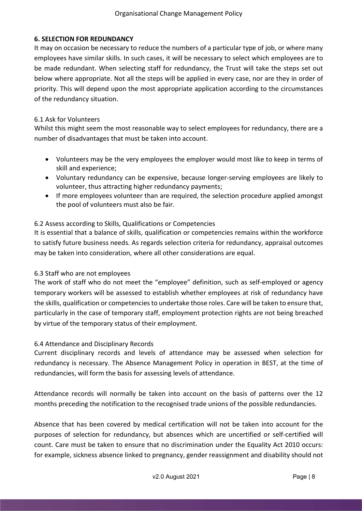# 6. SELECTION FOR REDUNDANCY

It may on occasion be necessary to reduce the numbers of a particular type of job, or where many employees have similar skills. In such cases, it will be necessary to select which employees are to be made redundant. When selecting staff for redundancy, the Trust will take the steps set out below where appropriate. Not all the steps will be applied in every case, nor are they in order of priority. This will depend upon the most appropriate application according to the circumstances of the redundancy situation.

# 6.1 Ask for Volunteers

Whilst this might seem the most reasonable way to select employees for redundancy, there are a number of disadvantages that must be taken into account.

- Volunteers may be the very employees the employer would most like to keep in terms of skill and experience;
- Voluntary redundancy can be expensive, because longer-serving employees are likely to volunteer, thus attracting higher redundancy payments;
- If more employees volunteer than are required, the selection procedure applied amongst the pool of volunteers must also be fair.

# 6.2 Assess according to Skills, Qualifications or Competencies

It is essential that a balance of skills, qualification or competencies remains within the workforce to satisfy future business needs. As regards selection criteria for redundancy, appraisal outcomes may be taken into consideration, where all other considerations are equal.

## 6.3 Staff who are not employees

The work of staff who do not meet the "employee" definition, such as self-employed or agency temporary workers will be assessed to establish whether employees at risk of redundancy have the skills, qualification or competencies to undertake those roles. Care will be taken to ensure that, particularly in the case of temporary staff, employment protection rights are not being breached by virtue of the temporary status of their employment.

# 6.4 Attendance and Disciplinary Records

Current disciplinary records and levels of attendance may be assessed when selection for redundancy is necessary. The Absence Management Policy in operation in BEST, at the time of redundancies, will form the basis for assessing levels of attendance.

Attendance records will normally be taken into account on the basis of patterns over the 12 months preceding the notification to the recognised trade unions of the possible redundancies.

Absence that has been covered by medical certification will not be taken into account for the purposes of selection for redundancy, but absences which are uncertified or self-certified will count. Care must be taken to ensure that no discrimination under the Equality Act 2010 occurs: for example, sickness absence linked to pregnancy, gender reassignment and disability should not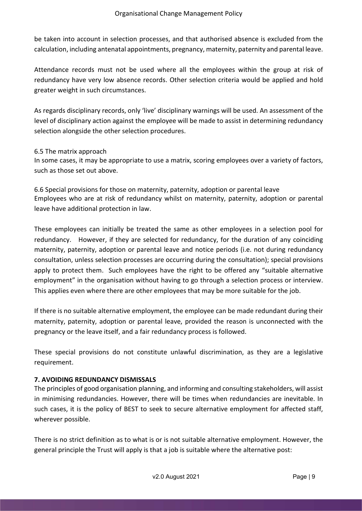be taken into account in selection processes, and that authorised absence is excluded from the calculation, including antenatal appointments, pregnancy, maternity, paternity and parental leave.

Attendance records must not be used where all the employees within the group at risk of redundancy have very low absence records. Other selection criteria would be applied and hold greater weight in such circumstances.

As regards disciplinary records, only 'live' disciplinary warnings will be used. An assessment of the level of disciplinary action against the employee will be made to assist in determining redundancy selection alongside the other selection procedures.

## 6.5 The matrix approach

In some cases, it may be appropriate to use a matrix, scoring employees over a variety of factors, such as those set out above.

6.6 Special provisions for those on maternity, paternity, adoption or parental leave Employees who are at risk of redundancy whilst on maternity, paternity, adoption or parental leave have additional protection in law.

These employees can initially be treated the same as other employees in a selection pool for redundancy. However, if they are selected for redundancy, for the duration of any coinciding maternity, paternity, adoption or parental leave and notice periods (i.e. not during redundancy consultation, unless selection processes are occurring during the consultation); special provisions apply to protect them. Such employees have the right to be offered any "suitable alternative employment" in the organisation without having to go through a selection process or interview. This applies even where there are other employees that may be more suitable for the job.

If there is no suitable alternative employment, the employee can be made redundant during their maternity, paternity, adoption or parental leave, provided the reason is unconnected with the pregnancy or the leave itself, and a fair redundancy process is followed.

These special provisions do not constitute unlawful discrimination, as they are a legislative requirement.

## 7. AVOIDING REDUNDANCY DISMISSALS

The principles of good organisation planning, and informing and consulting stakeholders, will assist in minimising redundancies. However, there will be times when redundancies are inevitable. In such cases, it is the policy of BEST to seek to secure alternative employment for affected staff, wherever possible.

There is no strict definition as to what is or is not suitable alternative employment. However, the general principle the Trust will apply is that a job is suitable where the alternative post: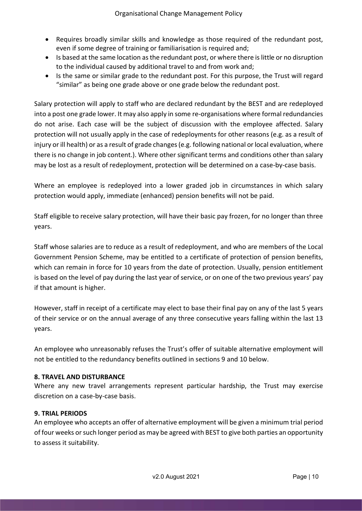- Requires broadly similar skills and knowledge as those required of the redundant post, even if some degree of training or familiarisation is required and;
- Is based at the same location as the redundant post, or where there is little or no disruption to the individual caused by additional travel to and from work and;
- Is the same or similar grade to the redundant post. For this purpose, the Trust will regard "similar" as being one grade above or one grade below the redundant post.

Salary protection will apply to staff who are declared redundant by the BEST and are redeployed into a post one grade lower. It may also apply in some re-organisations where formal redundancies do not arise. Each case will be the subject of discussion with the employee affected. Salary protection will not usually apply in the case of redeployments for other reasons (e.g. as a result of injury or ill health) or as a result of grade changes (e.g. following national or local evaluation, where there is no change in job content.). Where other significant terms and conditions other than salary may be lost as a result of redeployment, protection will be determined on a case-by-case basis.

Where an employee is redeployed into a lower graded job in circumstances in which salary protection would apply, immediate (enhanced) pension benefits will not be paid.

Staff eligible to receive salary protection, will have their basic pay frozen, for no longer than three years.

Staff whose salaries are to reduce as a result of redeployment, and who are members of the Local Government Pension Scheme, may be entitled to a certificate of protection of pension benefits, which can remain in force for 10 years from the date of protection. Usually, pension entitlement is based on the level of pay during the last year of service, or on one of the two previous years' pay if that amount is higher.

However, staff in receipt of a certificate may elect to base their final pay on any of the last 5 years of their service or on the annual average of any three consecutive years falling within the last 13 years.

An employee who unreasonably refuses the Trust's offer of suitable alternative employment will not be entitled to the redundancy benefits outlined in sections 9 and 10 below.

## 8. TRAVEL AND DISTURBANCE

Where any new travel arrangements represent particular hardship, the Trust may exercise discretion on a case-by-case basis.

## 9. TRIAL PERIODS

An employee who accepts an offer of alternative employment will be given a minimum trial period of four weeks or such longer period as may be agreed with BEST to give both parties an opportunity to assess it suitability.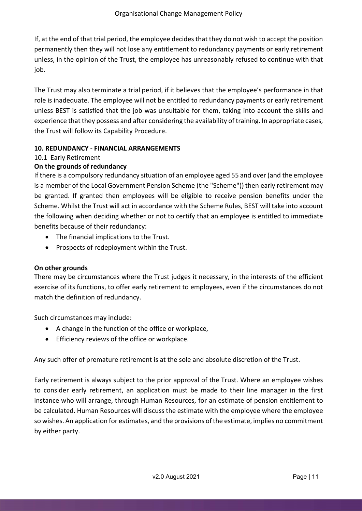If, at the end of that trial period, the employee decides that they do not wish to accept the position permanently then they will not lose any entitlement to redundancy payments or early retirement unless, in the opinion of the Trust, the employee has unreasonably refused to continue with that job.

The Trust may also terminate a trial period, if it believes that the employee's performance in that role is inadequate. The employee will not be entitled to redundancy payments or early retirement unless BEST is satisfied that the job was unsuitable for them, taking into account the skills and experience that they possess and after considering the availability of training. In appropriate cases, the Trust will follow its Capability Procedure.

# 10. REDUNDANCY - FINANCIAL ARRANGEMENTS

# 10.1 Early Retirement

# On the grounds of redundancy

If there is a compulsory redundancy situation of an employee aged 55 and over (and the employee is a member of the Local Government Pension Scheme (the "Scheme")) then early retirement may be granted. If granted then employees will be eligible to receive pension benefits under the Scheme. Whilst the Trust will act in accordance with the Scheme Rules, BEST will take into account the following when deciding whether or not to certify that an employee is entitled to immediate benefits because of their redundancy:

- The financial implications to the Trust.
- Prospects of redeployment within the Trust.

## On other grounds

There may be circumstances where the Trust judges it necessary, in the interests of the efficient exercise of its functions, to offer early retirement to employees, even if the circumstances do not match the definition of redundancy.

Such circumstances may include:

- A change in the function of the office or workplace,
- **•** Efficiency reviews of the office or workplace.

Any such offer of premature retirement is at the sole and absolute discretion of the Trust.

Early retirement is always subject to the prior approval of the Trust. Where an employee wishes to consider early retirement, an application must be made to their line manager in the first instance who will arrange, through Human Resources, for an estimate of pension entitlement to be calculated. Human Resources will discuss the estimate with the employee where the employee so wishes. An application for estimates, and the provisions of the estimate, implies no commitment by either party.